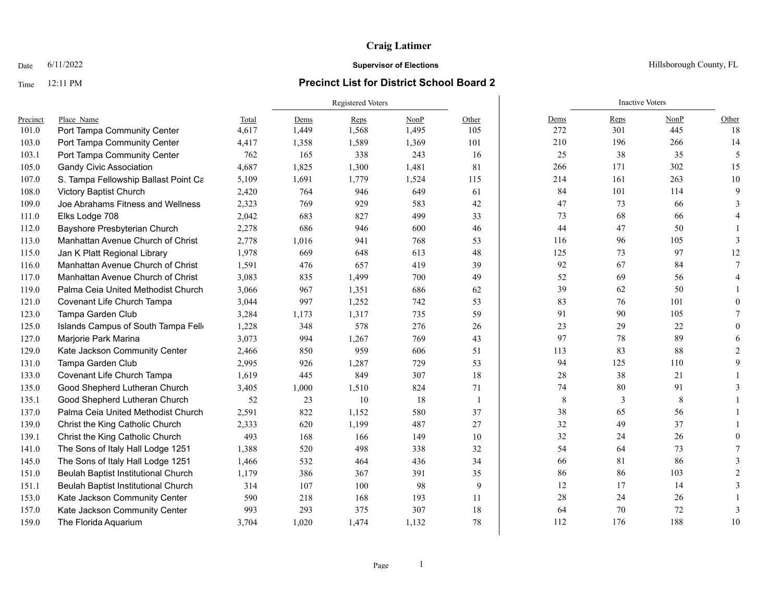### Time 12:11 PM **Precinct List for District School Board 2**

|          |                                      |       | Registered Voters |       |       |                |      | <b>Inactive Voters</b> |        |               |
|----------|--------------------------------------|-------|-------------------|-------|-------|----------------|------|------------------------|--------|---------------|
| Precinct | Place Name                           | Total | Dems              | Reps  | NonP  | Other          | Dems | Reps                   | NonP   | Other         |
| 101.0    | Port Tampa Community Center          | 4,617 | 1,449             | 1,568 | 1,495 | 105            | 272  | 301                    | 445    | 18            |
| 103.0    | Port Tampa Community Center          | 4,417 | 1,358             | 1,589 | 1,369 | 101            | 210  | 196                    | 266    | 14            |
| 103.1    | Port Tampa Community Center          | 762   | 165               | 338   | 243   | 16             | 25   | 38                     | 35     | 5             |
| 105.0    | <b>Gandy Civic Association</b>       | 4,687 | 1,825             | 1,300 | 1,481 | 81             | 266  | 171                    | 302    | 15            |
| 107.0    | S. Tampa Fellowship Ballast Point Ca | 5,109 | 1,691             | 1,779 | 1,524 | 115            | 214  | 161                    | 263    | 10            |
| 108.0    | Victory Baptist Church               | 2,420 | 764               | 946   | 649   | 61             | 84   | 101                    | 114    | 9             |
| 109.0    | Joe Abrahams Fitness and Wellness    | 2,323 | 769               | 929   | 583   | 42             | 47   | 73                     | 66     |               |
| 111.0    | Elks Lodge 708                       | 2,042 | 683               | 827   | 499   | 33             | 73   | 68                     | 66     |               |
| 112.0    | Bayshore Presbyterian Church         | 2,278 | 686               | 946   | 600   | 46             | 44   | 47                     | 50     |               |
| 113.0    | Manhattan Avenue Church of Christ    | 2,778 | 1,016             | 941   | 768   | 53             | 116  | 96                     | 105    | 3             |
| 115.0    | Jan K Platt Regional Library         | 1,978 | 669               | 648   | 613   | 48             | 125  | 73                     | 97     | 12            |
| 116.0    | Manhattan Avenue Church of Christ    | 1,591 | 476               | 657   | 419   | 39             | 92   | 67                     | 84     |               |
| 117.0    | Manhattan Avenue Church of Christ    | 3,083 | 835               | 1,499 | 700   | 49             | 52   | 69                     | 56     |               |
| 119.0    | Palma Ceia United Methodist Church   | 3,066 | 967               | 1,351 | 686   | 62             | 39   | 62                     | 50     |               |
| 121.0    | Covenant Life Church Tampa           | 3,044 | 997               | 1,252 | 742   | 53             | 83   | 76                     | 101    | $\Omega$      |
| 123.0    | Tampa Garden Club                    | 3,284 | 1,173             | 1,317 | 735   | 59             | 91   | 90                     | 105    |               |
| 125.0    | Islands Campus of South Tampa Fello  | 1,228 | 348               | 578   | 276   | 26             | 23   | 29                     | 22     | $\Omega$      |
| 127.0    | Marjorie Park Marina                 | 3,073 | 994               | 1,267 | 769   | 43             | 97   | 78                     | 89     | 6             |
| 129.0    | Kate Jackson Community Center        | 2,466 | 850               | 959   | 606   | 51             | 113  | 83                     | 88     |               |
| 131.0    | Tampa Garden Club                    | 2,995 | 926               | 1,287 | 729   | 53             | 94   | 125                    | 110    |               |
| 133.0    | Covenant Life Church Tampa           | 1,619 | 445               | 849   | 307   | 18             | 28   | 38                     | 21     |               |
| 135.0    | Good Shepherd Lutheran Church        | 3,405 | 1,000             | 1,510 | 824   | 71             | 74   | 80                     | 91     |               |
| 135.1    | Good Shepherd Lutheran Church        | 52    | 23                | 10    | 18    | $\overline{1}$ | 8    | 3                      | 8      |               |
| 137.0    | Palma Ceia United Methodist Church   | 2,591 | 822               | 1,152 | 580   | 37             | 38   | 65                     | 56     |               |
| 139.0    | Christ the King Catholic Church      | 2,333 | 620               | 1,199 | 487   | 27             | 32   | 49                     | 37     |               |
| 139.1    | Christ the King Catholic Church      | 493   | 168               | 166   | 149   | 10             | 32   | 24                     | $26\,$ |               |
| 141.0    | The Sons of Italy Hall Lodge 1251    | 1,388 | 520               | 498   | 338   | 32             | 54   | 64                     | 73     |               |
| 145.0    | The Sons of Italy Hall Lodge 1251    | 1,466 | 532               | 464   | 436   | 34             | 66   | 81                     | 86     |               |
| 151.0    | Beulah Baptist Institutional Church  | 1,179 | 386               | 367   | 391   | 35             | 86   | 86                     | 103    | $\mathcal{D}$ |
| 151.1    | Beulah Baptist Institutional Church  | 314   | 107               | 100   | 98    | 9              | 12   | 17                     | 14     |               |
| 153.0    | Kate Jackson Community Center        | 590   | 218               | 168   | 193   | 11             | 28   | 24                     | 26     |               |
| 157.0    | Kate Jackson Community Center        | 993   | 293               | 375   | 307   | 18             | 64   | 70                     | 72     | $\mathbf{3}$  |
| 159.0    | The Florida Aquarium                 | 3,704 | 1,020             | 1,474 | 1,132 | 78             | 112  | 176                    | 188    | 10            |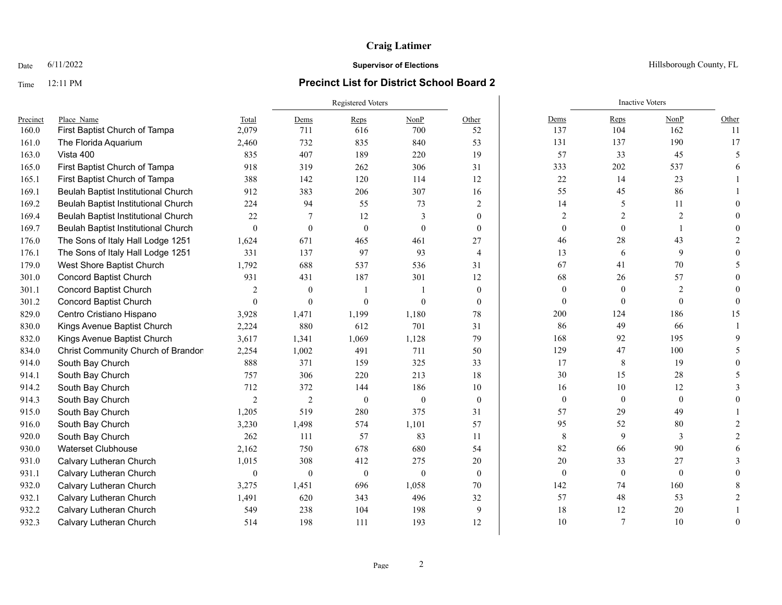### Time 12:11 PM **Precinct List for District School Board 2**

|          |                                            |                | Registered Voters |          |               |                |              | <b>Inactive Voters</b> |                |                          |  |  |
|----------|--------------------------------------------|----------------|-------------------|----------|---------------|----------------|--------------|------------------------|----------------|--------------------------|--|--|
| Precinct | Place Name                                 | Total          | Dems              | Reps     | NonP          | Other          | Dems         | Reps                   | NonP           | Other                    |  |  |
| 160.0    | First Baptist Church of Tampa              | 2,079          | 711               | 616      | 700           | 52             | 137          | 104                    | 162            | -11                      |  |  |
| 161.0    | The Florida Aquarium                       | 2,460          | 732               | 835      | 840           | 53             | 131          | 137                    | 190            | 17                       |  |  |
| 163.0    | Vista 400                                  | 835            | 407               | 189      | 220           | 19             | 57           | 33                     | 45             | $\overline{\phantom{0}}$ |  |  |
| 165.0    | First Baptist Church of Tampa              | 918            | 319               | 262      | 306           | 31             | 333          | 202                    | 537            |                          |  |  |
| 165.1    | First Baptist Church of Tampa              | 388            | 142               | 120      | 114           | 12             | $22\,$       | 14                     | 23             |                          |  |  |
| 169.1    | Beulah Baptist Institutional Church        | 912            | 383               | 206      | 307           | 16             | 55           | 45                     | 86             |                          |  |  |
| 169.2    | <b>Beulah Baptist Institutional Church</b> | 224            | 94                | 55       | 73            | 2              | 14           | 5                      | 11             |                          |  |  |
| 169.4    | Beulah Baptist Institutional Church        | 22             | 7                 | 12       | $\mathcal{E}$ | $\theta$       | 2            | 2                      | $\overline{2}$ |                          |  |  |
| 169.7    | Beulah Baptist Institutional Church        | $\theta$       | $\mathbf{0}$      | $\Omega$ | $\theta$      | $\theta$       | $\theta$     | $\theta$               |                |                          |  |  |
| 176.0    | The Sons of Italy Hall Lodge 1251          | 1,624          | 671               | 465      | 461           | 27             | 46           | 28                     | 43             |                          |  |  |
| 176.1    | The Sons of Italy Hall Lodge 1251          | 331            | 137               | 97       | 93            | $\overline{4}$ | 13           | 6                      | 9              |                          |  |  |
| 179.0    | West Shore Baptist Church                  | 1,792          | 688               | 537      | 536           | 31             | 67           | 41                     | $70\,$         |                          |  |  |
| 301.0    | <b>Concord Baptist Church</b>              | 931            | 431               | 187      | 301           | 12             | 68           | 26                     | 57             |                          |  |  |
| 301.1    | <b>Concord Baptist Church</b>              | $\overline{2}$ | $\theta$          |          |               | $\theta$       | $\theta$     | $\mathbf{0}$           | $\overline{2}$ |                          |  |  |
| 301.2    | <b>Concord Baptist Church</b>              | $\theta$       | $\theta$          | $\Omega$ | $\theta$      | $\theta$       | $\theta$     | $\theta$               | $\theta$       |                          |  |  |
| 829.0    | Centro Cristiano Hispano                   | 3,928          | 1,471             | 1,199    | 1,180         | 78             | 200          | 124                    | 186            | 15                       |  |  |
| 830.0    | Kings Avenue Baptist Church                | 2,224          | 880               | 612      | 701           | 31             | 86           | 49                     | 66             |                          |  |  |
| 832.0    | Kings Avenue Baptist Church                | 3,617          | 1,341             | 1,069    | 1,128         | 79             | 168          | 92                     | 195            |                          |  |  |
| 834.0    | Christ Community Church of Brandon         | 2,254          | 1,002             | 491      | 711           | 50             | 129          | 47                     | 100            |                          |  |  |
| 914.0    | South Bay Church                           | 888            | 371               | 159      | 325           | 33             | 17           | 8                      | 19             |                          |  |  |
| 914.1    | South Bay Church                           | 757            | 306               | 220      | 213           | 18             | 30           | 15                     | 28             |                          |  |  |
| 914.2    | South Bay Church                           | 712            | 372               | 144      | 186           | 10             | 16           | 10                     | 12             |                          |  |  |
| 914.3    | South Bay Church                           | $\overline{2}$ | $\mathfrak{2}$    | $\theta$ | $\mathbf{0}$  | $\theta$       | $\mathbf{0}$ | $\mathbf{0}$           | $\mathbf{0}$   |                          |  |  |
| 915.0    | South Bay Church                           | 1,205          | 519               | 280      | 375           | 31             | 57           | 29                     | 49             |                          |  |  |
| 916.0    | South Bay Church                           | 3,230          | 1,498             | 574      | 1,101         | 57             | 95           | 52                     | 80             |                          |  |  |
| 920.0    | South Bay Church                           | 262            | 111               | 57       | 83            | 11             | $\,8\,$      | 9                      | 3              |                          |  |  |
| 930.0    | <b>Waterset Clubhouse</b>                  | 2,162          | 750               | 678      | 680           | 54             | 82           | 66                     | 90             |                          |  |  |
| 931.0    | Calvary Lutheran Church                    | 1,015          | 308               | 412      | 275           | 20             | 20           | 33                     | 27             |                          |  |  |
| 931.1    | Calvary Lutheran Church                    | $\mathbf{0}$   | $\theta$          | $\theta$ | $\theta$      | $\theta$       | $\mathbf{0}$ | $\boldsymbol{0}$       | $\mathbf{0}$   |                          |  |  |
| 932.0    | Calvary Lutheran Church                    | 3,275          | 1,451             | 696      | 1,058         | 70             | 142          | 74                     | 160            |                          |  |  |
| 932.1    | Calvary Lutheran Church                    | 1,491          | 620               | 343      | 496           | 32             | 57           | 48                     | 53             |                          |  |  |
| 932.2    | Calvary Lutheran Church                    | 549            | 238               | 104      | 198           | 9              | 18           | 12                     | 20             |                          |  |  |
| 932.3    | Calvary Lutheran Church                    | 514            | 198               | 111      | 193           | 12             | 10           | $\overline{7}$         | 10             | $\Omega$                 |  |  |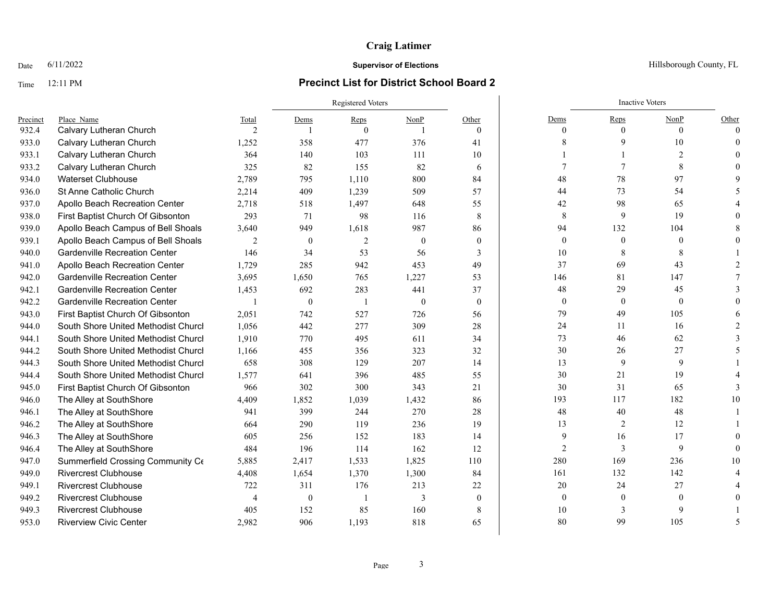## Time 12:11 PM **Precinct List for District School Board 2**

|          |                                      |                |                  | Registered Voters |                |              | <b>Inactive Voters</b> |                  |                  |          |
|----------|--------------------------------------|----------------|------------------|-------------------|----------------|--------------|------------------------|------------------|------------------|----------|
| Precinct | Place Name                           | Total          | Dems             | Reps              | NonP           | Other        | Dems                   | Reps             | NonP             | Other    |
| 932.4    | Calvary Lutheran Church              | $\mathfrak{D}$ |                  | $\theta$          |                | $\theta$     | $\Omega$               | $\theta$         | $\theta$         | $\Omega$ |
| 933.0    | Calvary Lutheran Church              | 1,252          | 358              | 477               | 376            | 41           | 8                      |                  | 10               |          |
| 933.1    | Calvary Lutheran Church              | 364            | 140              | 103               | 111            | 10           |                        |                  | 2                |          |
| 933.2    | Calvary Lutheran Church              | 325            | 82               | 155               | 82             | 6            | 7                      |                  | 8                |          |
| 934.0    | <b>Waterset Clubhouse</b>            | 2,789          | 795              | 1,110             | 800            | 84           | 48                     | 78               | 97               |          |
| 936.0    | St Anne Catholic Church              | 2,214          | 409              | 1,239             | 509            | 57           | 44                     | 73               | 54               |          |
| 937.0    | Apollo Beach Recreation Center       | 2,718          | 518              | 1,497             | 648            | 55           | 42                     | 98               | 65               |          |
| 938.0    | First Baptist Church Of Gibsonton    | 293            | 71               | 98                | 116            | 8            | 8                      | 9                | 19               |          |
| 939.0    | Apollo Beach Campus of Bell Shoals   | 3,640          | 949              | 1,618             | 987            | 86           | 94                     | 132              | 104              |          |
| 939.1    | Apollo Beach Campus of Bell Shoals   | $\overline{2}$ | $\mathbf{0}$     | $\overline{2}$    | $\theta$       | $\theta$     | $\overline{0}$         | $\theta$         | $\theta$         |          |
| 940.0    | <b>Gardenville Recreation Center</b> | 146            | 34               | 53                | 56             | 3            | 10                     | 8                | 8                |          |
| 941.0    | Apollo Beach Recreation Center       | 1,729          | 285              | 942               | 453            | 49           | 37                     | 69               | 43               |          |
| 942.0    | <b>Gardenville Recreation Center</b> | 3,695          | 1,650            | 765               | 1,227          | 53           | 146                    | 81               | 147              |          |
| 942.1    | <b>Gardenville Recreation Center</b> | 1,453          | 692              | 283               | 441            | 37           | 48                     | 29               | 45               |          |
| 942.2    | <b>Gardenville Recreation Center</b> |                | $\boldsymbol{0}$ | - 1               | $\overline{0}$ | $\mathbf{0}$ | $\boldsymbol{0}$       | $\boldsymbol{0}$ | $\boldsymbol{0}$ |          |
| 943.0    | First Baptist Church Of Gibsonton    | 2,051          | 742              | 527               | 726            | 56           | 79                     | 49               | 105              |          |
| 944.0    | South Shore United Methodist Churcl  | 1,056          | 442              | 277               | 309            | 28           | 24                     | 11               | 16               |          |
| 944.1    | South Shore United Methodist Churcl  | 1,910          | 770              | 495               | 611            | 34           | 73                     | 46               | 62               |          |
| 944.2    | South Shore United Methodist Churcl  | 1,166          | 455              | 356               | 323            | 32           | 30                     | 26               | 27               |          |
| 944.3    | South Shore United Methodist Churcl  | 658            | 308              | 129               | 207            | 14           | 13                     | 9                | 9                |          |
| 944.4    | South Shore United Methodist Churcl  | 1,577          | 641              | 396               | 485            | 55           | 30                     | 21               | 19               |          |
| 945.0    | First Baptist Church Of Gibsonton    | 966            | 302              | 300               | 343            | 21           | 30                     | 31               | 65               |          |
| 946.0    | The Alley at SouthShore              | 4,409          | 1,852            | 1,039             | 1,432          | 86           | 193                    | 117              | 182              | 10       |
| 946.1    | The Alley at SouthShore              | 941            | 399              | 244               | 270            | 28           | 48                     | 40               | 48               |          |
| 946.2    | The Alley at SouthShore              | 664            | 290              | 119               | 236            | 19           | 13                     | 2                | 12               |          |
| 946.3    | The Alley at SouthShore              | 605            | 256              | 152               | 183            | 14           | 9                      | 16               | 17               |          |
| 946.4    | The Alley at SouthShore              | 484            | 196              | 114               | 162            | 12           | $\overline{2}$         | 3                | 9                |          |
| 947.0    | Summerfield Crossing Community Ce    | 5,885          | 2,417            | 1,533             | 1,825          | 110          | 280                    | 169              | 236              | 10       |
| 949.0    | <b>Rivercrest Clubhouse</b>          | 4,408          | 1,654            | 1,370             | 1,300          | 84           | 161                    | 132              | 142              |          |
| 949.1    | <b>Rivercrest Clubhouse</b>          | 722            | 311              | 176               | 213            | 22           | 20                     | 24               | 27               |          |
| 949.2    | <b>Rivercrest Clubhouse</b>          | 4              | $\mathbf{0}$     | $\overline{1}$    | 3              | $\mathbf{0}$ | $\mathbf{0}$           | $\theta$         | $\theta$         |          |
| 949.3    | <b>Rivercrest Clubhouse</b>          | 405            | 152              | 85                | 160            | 8            | 10                     | 3                |                  |          |
| 953.0    | <b>Riverview Civic Center</b>        | 2,982          | 906              | 1,193             | 818            | 65           | 80                     | 99               | 105              |          |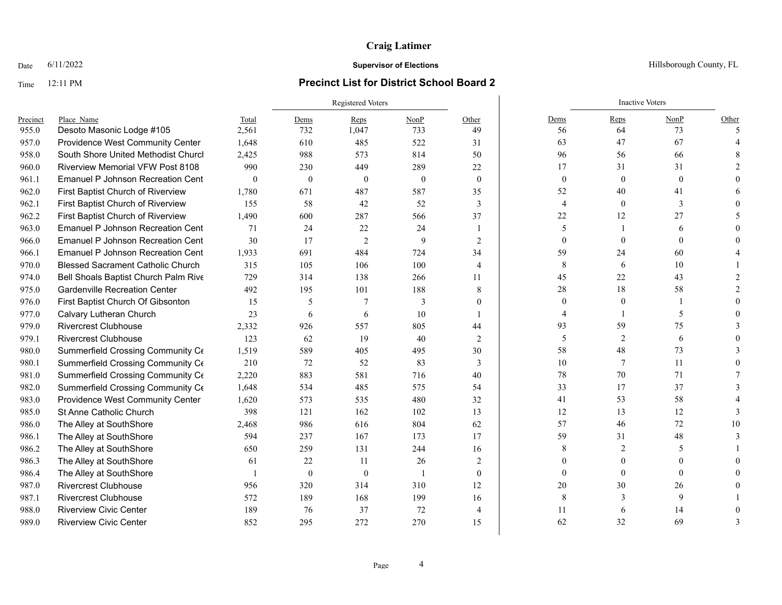### Time 12:11 PM **Precinct List for District School Board 2**

|          |                                          |          | <b>Registered Voters</b> |                |                |                |                  | <b>Inactive Voters</b> |              |       |
|----------|------------------------------------------|----------|--------------------------|----------------|----------------|----------------|------------------|------------------------|--------------|-------|
| Precinct | Place Name                               | Total    | Dems                     | Reps           | NonP           | Other          | Dems             | Reps                   | NonP         | Other |
| 955.0    | Desoto Masonic Lodge #105                | 2,561    | 732                      | 1,047          | 733            | 49             | 56               | 64                     | 73           |       |
| 957.0    | Providence West Community Center         | 1,648    | 610                      | 485            | 522            | 31             | 63               | 47                     | 67           |       |
| 958.0    | South Shore United Methodist Churcl      | 2,425    | 988                      | 573            | 814            | 50             | 96               | 56                     | 66           |       |
| 960.0    | <b>Riverview Memorial VFW Post 8108</b>  | 990      | 230                      | 449            | 289            | 22             | 17               | 31                     | 31           |       |
| 961.1    | <b>Emanuel P Johnson Recreation Cent</b> | $\theta$ | $\mathbf{0}$             | $\mathbf{0}$   | $\theta$       | $\mathbf{0}$   | $\boldsymbol{0}$ | $\mathbf{0}$           | $\mathbf{0}$ |       |
| 962.0    | First Baptist Church of Riverview        | 1,780    | 671                      | 487            | 587            | 35             | 52               | 40                     | 41           |       |
| 962.1    | First Baptist Church of Riverview        | 155      | 58                       | 42             | 52             | 3              | 4                | $\mathbf{0}$           | 3            |       |
| 962.2    | First Baptist Church of Riverview        | 1,490    | 600                      | 287            | 566            | 37             | $22\,$           | 12                     | 27           |       |
| 963.0    | <b>Emanuel P Johnson Recreation Cent</b> | 71       | 24                       | 22             | 24             |                | 5                |                        | 6            |       |
| 966.0    | Emanuel P Johnson Recreation Cent        | 30       | 17                       | $\overline{2}$ | 9              | 2              | $\Omega$         |                        | $\Omega$     |       |
| 966.1    | <b>Emanuel P Johnson Recreation Cent</b> | 1,933    | 691                      | 484            | 724            | 34             | 59               | 24                     | 60           |       |
| 970.0    | <b>Blessed Sacrament Catholic Church</b> | 315      | 105                      | 106            | 100            | 4              | 8                | 6                      | 10           |       |
| 974.0    | Bell Shoals Baptist Church Palm Rive     | 729      | 314                      | 138            | 266            | 11             | 45               | 22                     | 43           |       |
| 975.0    | <b>Gardenville Recreation Center</b>     | 492      | 195                      | 101            | 188            | 8              | 28               | 18                     | 58           |       |
| 976.0    | First Baptist Church Of Gibsonton        | 15       | 5                        |                | 3              | $\theta$       | $\theta$         | $\mathbf{0}$           |              |       |
| 977.0    | Calvary Lutheran Church                  | 23       | 6                        | 6              | 10             |                | 4                |                        | 5            |       |
| 979.0    | <b>Rivercrest Clubhouse</b>              | 2,332    | 926                      | 557            | 805            | 44             | 93               | 59                     | 75           |       |
| 979.1    | <b>Rivercrest Clubhouse</b>              | 123      | 62                       | 19             | 40             | 2              | 5                | $\overline{2}$         | 6            |       |
| 980.0    | Summerfield Crossing Community Ce        | 1,519    | 589                      | 405            | 495            | 30             | 58               | 48                     | 73           |       |
| 980.1    | Summerfield Crossing Community Ce        | 210      | 72                       | 52             | 83             | 3              | 10               | 7                      | 11           |       |
| 981.0    | Summerfield Crossing Community Ce        | 2,220    | 883                      | 581            | 716            | 40             | 78               | 70                     | 71           |       |
| 982.0    | Summerfield Crossing Community Ce        | 1,648    | 534                      | 485            | 575            | 54             | 33               | 17                     | 37           |       |
| 983.0    | Providence West Community Center         | 1,620    | 573                      | 535            | 480            | 32             | 41               | 53                     | 58           |       |
| 985.0    | St Anne Catholic Church                  | 398      | 121                      | 162            | 102            | 13             | 12               | 13                     | 12           |       |
| 986.0    | The Alley at SouthShore                  | 2,468    | 986                      | 616            | 804            | 62             | 57               | 46                     | 72           | 10    |
| 986.1    | The Alley at SouthShore                  | 594      | 237                      | 167            | 173            | 17             | 59               | 31                     | 48           |       |
| 986.2    | The Alley at SouthShore                  | 650      | 259                      | 131            | 244            | 16             | 8                | 2                      | 5            |       |
| 986.3    | The Alley at SouthShore                  | 61       | 22                       | 11             | 26             | 2              |                  |                        |              |       |
| 986.4    | The Alley at SouthShore                  |          | $\theta$                 | $\theta$       | $\overline{1}$ | $\theta$       | $\Omega$         | $\theta$               | $\theta$     |       |
| 987.0    | <b>Rivercrest Clubhouse</b>              | 956      | 320                      | 314            | 310            | 12             | 20               | 30                     | 26           |       |
| 987.1    | <b>Rivercrest Clubhouse</b>              | 572      | 189                      | 168            | 199            | 16             | 8                | 3                      | 9            |       |
| 988.0    | <b>Riverview Civic Center</b>            | 189      | 76                       | 37             | 72             | $\overline{4}$ | 11               |                        | 14           |       |
| 989.0    | <b>Riverview Civic Center</b>            | 852      | 295                      | 272            | 270            | 15             | 62               | 32                     | 69           |       |